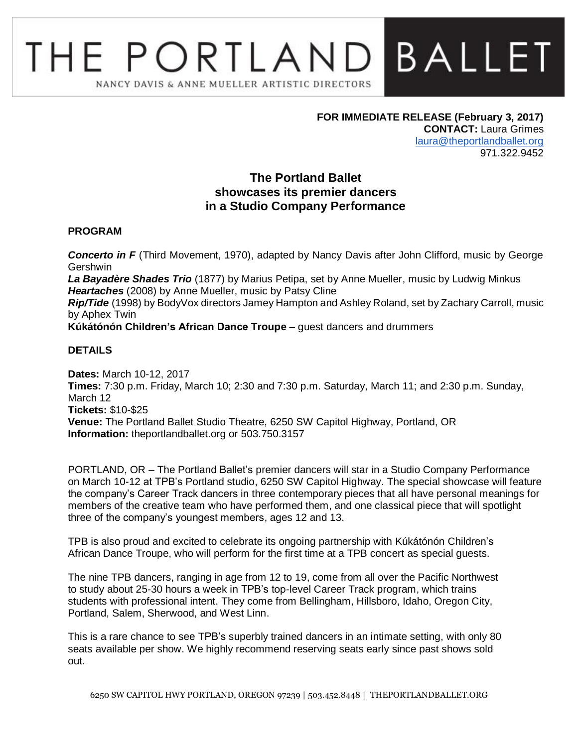# **BALLET** THE PORTLAND NANCY DAVIS & ANNE MUELLER ARTISTIC DIRECTORS

**FOR IMMEDIATE RELEASE (February 3, 2017) CONTACT:** Laura Grimes [laura@theportlandballet.org](mailto:laura@theportlandballet.org) 971.322.9452

# **The Portland Ballet showcases its premier dancers in a Studio Company Performance**

#### **PROGRAM**

**Concerto in F** (Third Movement, 1970), adapted by Nancy Davis after John Clifford, music by George **Gershwin** 

*La Bayadère Shades Trio* (1877) by Marius Petipa, set by Anne Mueller, music by Ludwig Minkus *Heartaches* (2008) by Anne Mueller, music by Patsy Cline

*Rip/Tide* (1998) by BodyVox directors Jamey Hampton and Ashley Roland, set by Zachary Carroll, music by Aphex Twin

**Kúkátónón Children's African Dance Troupe** – guest dancers and drummers

#### **DETAILS**

**Dates:** March 10-12, 2017 **Times:** 7:30 p.m. Friday, March 10; 2:30 and 7:30 p.m. Saturday, March 11; and 2:30 p.m. Sunday, March 12 **Tickets:** \$10-\$25 **Venue:** The Portland Ballet Studio Theatre, 6250 SW Capitol Highway, Portland, OR **Information:** theportlandballet.org or 503.750.3157

PORTLAND, OR – The Portland Ballet's premier dancers will star in a Studio Company Performance on March 10-12 at TPB's Portland studio, 6250 SW Capitol Highway. The special showcase will feature the company's Career Track dancers in three contemporary pieces that all have personal meanings for members of the creative team who have performed them, and one classical piece that will spotlight three of the company's youngest members, ages 12 and 13.

TPB is also proud and excited to celebrate its ongoing partnership with Kúkátónón Children's African Dance Troupe, who will perform for the first time at a TPB concert as special guests.

The nine TPB dancers, ranging in age from 12 to 19, come from all over the Pacific Northwest to study about 25-30 hours a week in TPB's top-level Career Track program, which trains students with professional intent. They come from Bellingham, Hillsboro, Idaho, Oregon City, Portland, Salem, Sherwood, and West Linn.

This is a rare chance to see TPB's superbly trained dancers in an intimate setting, with only 80 seats available per show. We highly recommend reserving seats early since past shows sold out.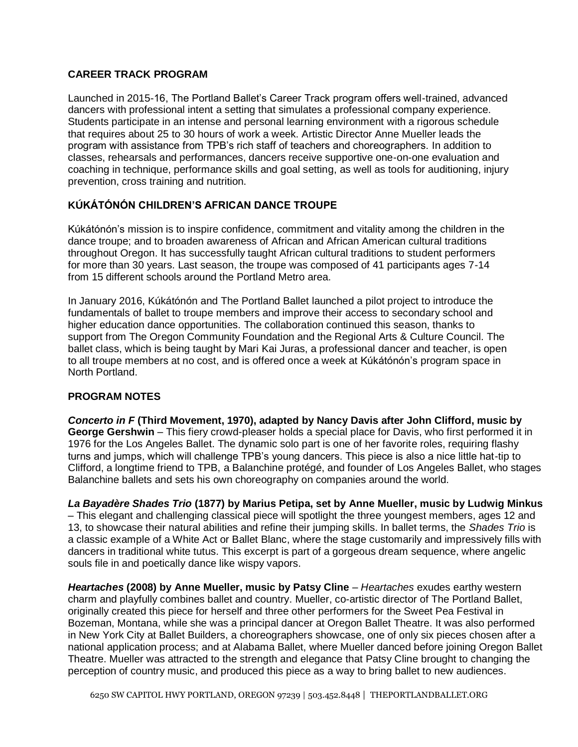# **CAREER TRACK PROGRAM**

Launched in 2015-16, The Portland Ballet's Career Track program offers well-trained, advanced dancers with professional intent a setting that simulates a professional company experience. Students participate in an intense and personal learning environment with a rigorous schedule that requires about 25 to 30 hours of work a week. Artistic Director Anne Mueller leads the program with assistance from TPB's rich staff of teachers and choreographers. In addition to classes, rehearsals and performances, dancers receive supportive one-on-one evaluation and coaching in technique, performance skills and goal setting, as well as tools for auditioning, injury prevention, cross training and nutrition.

# **KÚKÁTÓNÓN CHILDREN'S AFRICAN DANCE TROUPE**

Kúkátónón's mission is to inspire confidence, commitment and vitality among the children in the dance troupe; and to broaden awareness of African and African American cultural traditions throughout Oregon. It has successfully taught African cultural traditions to student performers for more than 30 years. Last season, the troupe was composed of 41 participants ages 7-14 from 15 different schools around the Portland Metro area.

In January 2016, Kúkátónón and The Portland Ballet launched a pilot project to introduce the fundamentals of ballet to troupe members and improve their access to secondary school and higher education dance opportunities. The collaboration continued this season, thanks to support from The Oregon Community Foundation and the Regional Arts & Culture Council. The ballet class, which is being taught by Mari Kai Juras, a professional dancer and teacher, is open to all troupe members at no cost, and is offered once a week at Kúkátónón's program space in North Portland.

## **PROGRAM NOTES**

*Concerto in F* **(Third Movement, 1970), adapted by Nancy Davis after John Clifford, music by George Gershwin** – This fiery crowd-pleaser holds a special place for Davis, who first performed it in 1976 for the Los Angeles Ballet. The dynamic solo part is one of her favorite roles, requiring flashy turns and jumps, which will challenge TPB's young dancers. This piece is also a nice little hat-tip to Clifford, a longtime friend to TPB, a Balanchine protégé, and founder of Los Angeles Ballet, who stages Balanchine ballets and sets his own choreography on companies around the world.

*La Bayadère Shades Trio* **(1877) by Marius Petipa, set by Anne Mueller, music by Ludwig Minkus** – This elegant and challenging classical piece will spotlight the three youngest members, ages 12 and 13, to showcase their natural abilities and refine their jumping skills. In ballet terms, the *Shades Trio* is a classic example of a White Act or Ballet Blanc, where the stage customarily and impressively fills with dancers in traditional white tutus. This excerpt is part of a gorgeous dream sequence, where angelic souls file in and poetically dance like wispy vapors.

*Heartaches* **(2008) by Anne Mueller, music by Patsy Cline** – *Heartaches* exudes earthy western charm and playfully combines ballet and country. Mueller, co-artistic director of The Portland Ballet, originally created this piece for herself and three other performers for the Sweet Pea Festival in Bozeman, Montana, while she was a principal dancer at Oregon Ballet Theatre. It was also performed in New York City at Ballet Builders, a choreographers showcase, one of only six pieces chosen after a national application process; and at Alabama Ballet, where Mueller danced before joining Oregon Ballet Theatre. Mueller was attracted to the strength and elegance that Patsy Cline brought to changing the perception of country music, and produced this piece as a way to bring ballet to new audiences.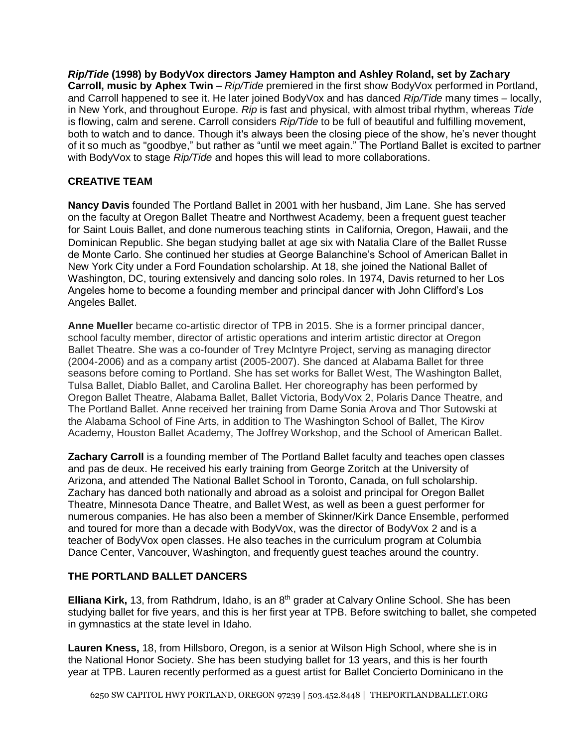*Rip/Tide* **(1998) by BodyVox directors Jamey Hampton and Ashley Roland, set by Zachary Carroll, music by Aphex Twin** – *Rip/Tide* premiered in the first show BodyVox performed in Portland, and Carroll happened to see it. He later joined BodyVox and has danced *Rip/Tide* many times – locally, in New York, and throughout Europe. *Rip* is fast and physical, with almost tribal rhythm, whereas *Tide* is flowing, calm and serene. Carroll considers *Rip/Tide* to be full of beautiful and fulfilling movement, both to watch and to dance. Though it's always been the closing piece of the show, he's never thought of it so much as "goodbye," but rather as "until we meet again." The Portland Ballet is excited to partner with BodyVox to stage *Rip/Tide* and hopes this will lead to more collaborations.

# **CREATIVE TEAM**

**Nancy Davis** founded The Portland Ballet in 2001 with her husband, Jim Lane. She has served on the faculty at Oregon Ballet Theatre and Northwest Academy, been a frequent guest teacher for Saint Louis Ballet, and done numerous teaching stints in California, Oregon, Hawaii, and the Dominican Republic. She began studying ballet at age six with Natalia Clare of the Ballet Russe de Monte Carlo. She continued her studies at George Balanchine's School of American Ballet in New York City under a Ford Foundation scholarship. At 18, she joined the National Ballet of Washington, DC, touring extensively and dancing solo roles. In 1974, Davis returned to her Los Angeles home to become a founding member and principal dancer with John Clifford's Los Angeles Ballet.

**Anne Mueller** became co-artistic director of TPB in 2015. She is a former principal dancer, school faculty member, director of artistic operations and interim artistic director at Oregon Ballet Theatre. She was a co-founder of Trey McIntyre Project, serving as managing director (2004-2006) and as a company artist (2005-2007). She danced at Alabama Ballet for three seasons before coming to Portland. She has set works for Ballet West, The Washington Ballet, Tulsa Ballet, Diablo Ballet, and Carolina Ballet. Her choreography has been performed by Oregon Ballet Theatre, Alabama Ballet, Ballet Victoria, BodyVox 2, Polaris Dance Theatre, and The Portland Ballet. Anne received her training from Dame Sonia Arova and Thor Sutowski at the Alabama School of Fine Arts, in addition to The Washington School of Ballet, The Kirov Academy, Houston Ballet Academy, The Joffrey Workshop, and the School of American Ballet.

**Zachary Carroll** is a founding member of The Portland Ballet faculty and teaches open classes and pas de deux. He received his early training from George Zoritch at the University of Arizona, and attended The National Ballet School in Toronto, Canada, on full scholarship. Zachary has danced both nationally and abroad as a soloist and principal for Oregon Ballet Theatre, Minnesota Dance Theatre, and Ballet West, as well as been a guest performer for numerous companies. He has also been a member of Skinner/Kirk Dance Ensemble, performed and toured for more than a decade with BodyVox, was the director of BodyVox 2 and is a teacher of BodyVox open classes. He also teaches in the curriculum program at Columbia Dance Center, Vancouver, Washington, and frequently guest teaches around the country.

## **THE PORTLAND BALLET DANCERS**

Elliana Kirk, 13, from Rathdrum, Idaho, is an 8<sup>th</sup> grader at Calvary Online School. She has been studying ballet for five years, and this is her first year at TPB. Before switching to ballet, she competed in gymnastics at the state level in Idaho.

**Lauren Kness,** 18, from Hillsboro, Oregon, is a senior at Wilson High School, where she is in the National Honor Society. She has been studying ballet for 13 years, and this is her fourth year at TPB. Lauren recently performed as a guest artist for Ballet Concierto Dominicano in the

6250 SW CAPITOL HWY PORTLAND, OREGON 97239 | 503.452.8448 | THEPORTLANDBALLET.ORG